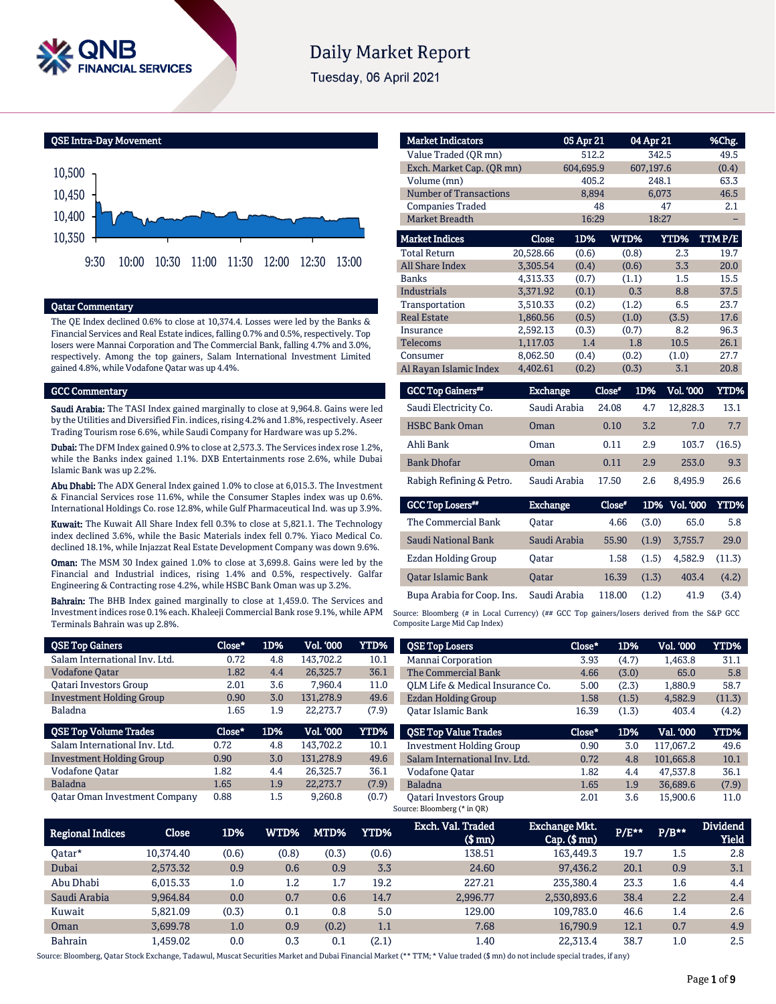

# **Daily Market Report**

Tuesday, 06 April 2021



### Qatar Commentary

The QE Index declined 0.6% to close at 10,374.4. Losses were led by the Banks & Financial Services and Real Estate indices, falling 0.7% and 0.5%, respectively. Top losers were Mannai Corporation and The Commercial Bank, falling 4.7% and 3.0%, respectively. Among the top gainers, Salam International Investment Limited gained 4.8%, while Vodafone Qatar was up 4.4%.

#### GCC Commentary

Saudi Arabia: The TASI Index gained marginally to close at 9,964.8. Gains were led by the Utilities and Diversified Fin. indices, rising 4.2% and 1.8%, respectively. Aseer Trading Tourism rose 6.6%, while Saudi Company for Hardware was up 5.2%.

Dubai: The DFM Index gained 0.9% to close at 2,573.3. The Services index rose 1.2%, while the Banks index gained 1.1%. DXB Entertainments rose 2.6%, while Dubai Islamic Bank was up 2.2%.

Abu Dhabi: The ADX General Index gained 1.0% to close at 6,015.3. The Investment & Financial Services rose 11.6%, while the Consumer Staples index was up 0.6%. International Holdings Co. rose 12.8%, while Gulf Pharmaceutical Ind. was up 3.9%.

Kuwait: The Kuwait All Share Index fell 0.3% to close at 5,821.1. The Technology index declined 3.6%, while the Basic Materials index fell 0.7%. Yiaco Medical Co. declined 18.1%, while Injazzat Real Estate Development Company was down 9.6%.

Oman: The MSM 30 Index gained 1.0% to close at 3,699.8. Gains were led by the Financial and Industrial indices, rising 1.4% and 0.5%, respectively. Galfar Engineering & Contracting rose 4.2%, while HSBC Bank Oman was up 3.2%.

Bahrain: The BHB Index gained marginally to close at 1,459.0. The Services and Investment indices rose 0.1% each. Khaleeji Commercial Bank rose 9.1%, while APM Terminals Bahrain was up 2.8%.

| <b>Market Indicators</b>  |                 | 05 Apr 21 |        | 04 Apr 21 |                  | %Chg.   |
|---------------------------|-----------------|-----------|--------|-----------|------------------|---------|
| Value Traded (QR mn)      |                 | 512.2     |        | 342.5     |                  | 49.5    |
| Exch. Market Cap. (QR mn) |                 | 604.695.9 |        | 607,197.6 |                  | (0.4)   |
| Volume (mn)               |                 | 405.2     |        | 248.1     |                  | 63.3    |
| Number of Transactions    |                 | 8,894     |        | 6,073     |                  | 46.5    |
| <b>Companies Traded</b>   |                 | 48        |        |           | 47               | 2.1     |
| Market Breadth            |                 | 16:29     |        | 18:27     |                  |         |
| <b>Market Indices</b>     | Close           | 1D%       | WTD%   |           | YTD%             | TTM P/E |
| <b>Total Return</b>       | 20,528.66       | (0.6)     |        | (0.8)     | 2.3              | 19.7    |
| <b>All Share Index</b>    | 3.305.54        | (0.4)     |        | (0.6)     | 3.3              | 20.0    |
| <b>Banks</b>              | 4,313.33        | (0.7)     |        | (1.1)     | 1.5              | 15.5    |
| Industrials               | 3.371.92        | (0.1)     |        | 0.3       | 8.8              | 37.5    |
| Transportation            | 3,510.33        | (0.2)     |        | (1.2)     | 6.5              | 23.7    |
| <b>Real Estate</b>        | 1,860.56        | (0.5)     |        | (1.0)     | (3.5)            | 17.6    |
| Insurance                 | 2.592.13        | (0.3)     |        | (0.7)     | 8.2              | 96.3    |
| <b>Telecoms</b>           | 1,117.03        | 1.4       |        | 1.8       | 10.5             | 26.1    |
| Consumer                  | 8.062.50        | (0.4)     |        | (0.2)     | (1.0)            | 27.7    |
| Al Rayan Islamic Index    | 4.402.61        | (0.2)     |        | (0.3)     | 3.1              | 20.8    |
| <b>GCC Top Gainers**</b>  | <b>Exchange</b> |           | Close* | 1D%       | <b>Vol. '000</b> | YTD%    |
| Saudi Electricity Co.     | Saudi Arabia    |           | 24.08  | 4.7       | 12,828.3         | 13.1    |
| <b>HSBC Bank Oman</b>     | Oman            |           | 0.10   | 3.2       | 7.0              | 7.7     |
| Ahli Bank                 | Oman            |           | 0.11   | 2.9       | 103.7            | (16.5)  |
| <b>Bank Dhofar</b>        | Oman            |           | 0.11   | 2.9       | 253.0            | 9.3     |

| <b>GCC Top Losers</b> <sup>##</sup> | <b>Exchange</b> | Close" | 1D%   | <b>Vol. '000</b> | YTD%   |
|-------------------------------------|-----------------|--------|-------|------------------|--------|
| The Commercial Bank                 | Oatar           | 4.66   | (3.0) | 65.0             | 5.8    |
| Saudi National Bank                 | Saudi Arabia    | 55.90  | (1.9) | 3.755.7          | 29.0   |
| Ezdan Holding Group                 | Oatar           | 1.58   | (1.5) | 4.582.9          | (11.3) |
| <b>Oatar Islamic Bank</b>           | <b>Oatar</b>    | 16.39  | (1.3) | 403.4            | (4.2)  |
| Bupa Arabia for Coop. Ins.          | Saudi Arabia    | 118.00 | (1.2) | 41.9             | (3.4)  |

Rabigh Refining & Petro. Saudi Arabia 17.50 2.6 8,495.9 26.6

Source: Bloomberg (# in Local Currency) (## GCC Top gainers/losers derived from the S&P GCC Composite Large Mid Cap Index)

| <b>QSE Top Gainers</b>               | Close* | 1D% | <b>Vol. '000</b> | YTD%  | <b>QSE Top Losers</b>                                        | Close* | 1D%   | <b>Vol. '000</b> | YTD%   |
|--------------------------------------|--------|-----|------------------|-------|--------------------------------------------------------------|--------|-------|------------------|--------|
| Salam International Inv. Ltd.        | 0.72   | 4.8 | 143.702.2        | 10.1  | Mannai Corporation                                           | 3.93   | (4.7) | 1,463.8          | 31.1   |
| <b>Vodafone Qatar</b>                | 1.82   | 4.4 | 26,325.7         | 36.1  | The Commercial Bank                                          | 4.66   | (3.0) | 65.0             | 5.8    |
| <b>Oatari Investors Group</b>        | 2.01   | 3.6 | 7.960.4          | 11.0  | OLM Life & Medical Insurance Co.                             | 5.00   | (2.3) | 1,880.9          | 58.7   |
| <b>Investment Holding Group</b>      | 0.90   | 3.0 | 131,278.9        | 49.6  | <b>Ezdan Holding Group</b>                                   | 1.58   | (1.5) | 4.582.9          | (11.3) |
| <b>Baladna</b>                       | 1.65   | 1.9 | 22,273.7         | (7.9) | Oatar Islamic Bank                                           | 16.39  | (1.3) | 403.4            | (4.2)  |
| <b>QSE Top Volume Trades</b>         | Close* | 1D% | <b>Vol. '000</b> | YTD%  | <b>QSE Top Value Trades</b>                                  | Close* | 1D%   | Val. '000        | YTD%   |
| Salam International Inv. Ltd.        | 0.72   | 4.8 | 143.702.2        | 10.1  | <b>Investment Holding Group</b>                              | 0.90   | 3.0   | 117,067.2        | 49.6   |
| <b>Investment Holding Group</b>      | 0.90   | 3.0 | 131.278.9        | 49.6  | Salam International Inv. Ltd.                                | 0.72   | 4.8   | 101.665.8        | 10.1   |
| <b>Vodafone Qatar</b>                | 1.82   | 4.4 | 26.325.7         | 36.1  | <b>Vodafone Oatar</b>                                        | 1.82   | 4.4   | 47.537.8         | 36.1   |
| <b>Baladna</b>                       | 1.65   | 1.9 | 22,273.7         | (7.9) | Baladna                                                      | 1.65   | 1.9   | 36,689.6         | (7.9)  |
| <b>Qatar Oman Investment Company</b> | 0.88   | 1.5 | 9,260.8          | (0.7) | <b>Oatari Investors Group</b><br>Source: Bloomberg (* in QR) | 2.01   | 3.6   | 15,900.6         | 11.0   |

| Regional Indices | Close     | 1D%   | WTD%    | MTD%    | <b>YTD%</b> | Exch. Val. Traded<br>$$$ mn $)$ | Exchange Mkt.<br>$Cap.$ (\$ mn) | $P/E***$ | $P/B**$ | <b>Dividend</b><br><b>Yield</b> |
|------------------|-----------|-------|---------|---------|-------------|---------------------------------|---------------------------------|----------|---------|---------------------------------|
| Oatar*           | 10.374.40 | (0.6) | (0.8)   | (0.3)   | (0.6)       | 138.51                          | 163,449.3                       | 19.7     | 1.5     | 2.8                             |
| Dubai            | 2,573.32  | 0.9   | 0.6     | 0.9     | 3.3         | 24.60                           | 97.436.2                        | 20.1     | 0.9     | 3.1                             |
| Abu Dhabi        | 6.015.33  | 1.0   | $1.2\,$ | 1.7     | 19.2        | 227.21                          | 235,380.4                       | 23.3     | 1.6     | 4.4                             |
| Saudi Arabia     | 9,964.84  | 0.0   | 0.7     | 0.6     | 14.7        | 2.996.77                        | 2,530,893.6                     | 38.4     | 2.2     | 2.4                             |
| Kuwait           | 5.821.09  | (0.3) | 0.1     | 0.8     | 5.0         | 129.00                          | 109.783.0                       | 46.6     | 1.4     | 2.6                             |
| Oman             | 3.699.78  | 1.0   | 0.9     | (0.2)   | 1.1         | 7.68                            | 16.790.9                        | 12.1     | 0.7     | 4.9                             |
| <b>Bahrain</b>   | 1.459.02  | 0.0   | 0.3     | $0.1\,$ | (2.1)       | 1.40                            | 22.313.4                        | 38.7     | 1.0     | 2.5                             |

Source: Bloomberg, Qatar Stock Exchange, Tadawul, Muscat Securities Market and Dubai Financial Market (\*\* TTM; \* Value traded (\$ mn) do not include special trades, if any)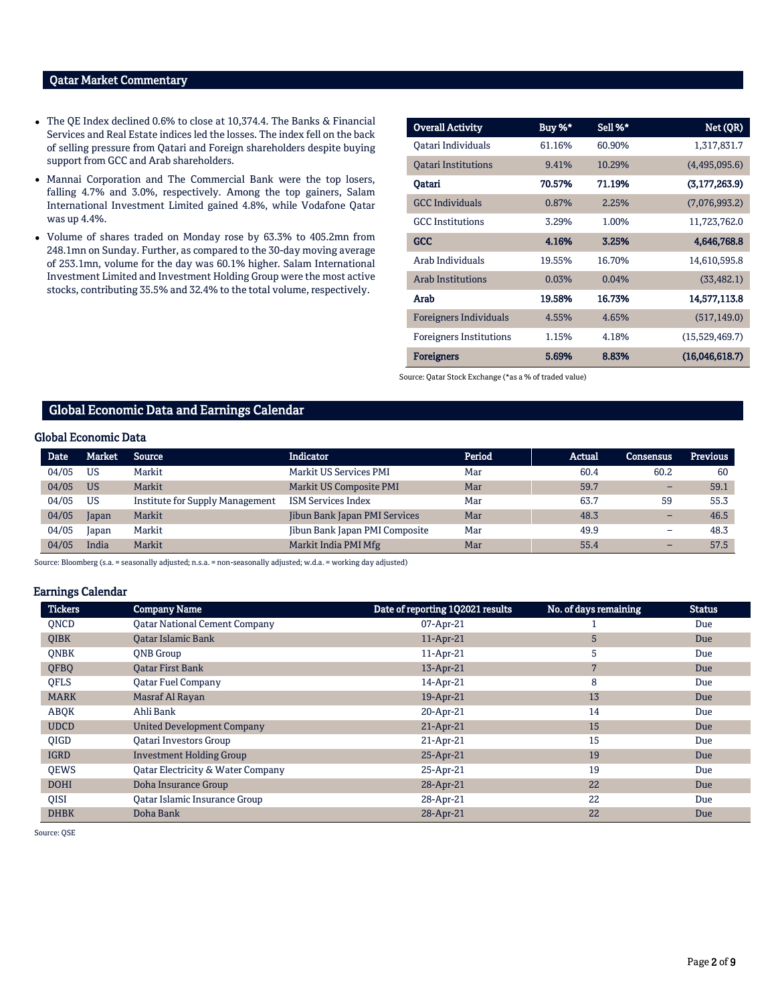# Qatar Market Commentary

- The QE Index declined 0.6% to close at 10,374.4. The Banks & Financial Services and Real Estate indices led the losses. The index fell on the back of selling pressure from Qatari and Foreign shareholders despite buying support from GCC and Arab shareholders.
- Mannai Corporation and The Commercial Bank were the top losers, falling 4.7% and 3.0%, respectively. Among the top gainers, Salam International Investment Limited gained 4.8%, while Vodafone Qatar was up 4.4%.
- Volume of shares traded on Monday rose by 63.3% to 405.2mn from 248.1mn on Sunday. Further, as compared to the 30-day moving average of 253.1mn, volume for the day was 60.1% higher. Salam International Investment Limited and Investment Holding Group were the most active stocks, contributing 35.5% and 32.4% to the total volume, respectively.

| <b>Overall Activity</b>        | Buy %* | Sell %* | Net (QR)        |
|--------------------------------|--------|---------|-----------------|
| Oatari Individuals             | 61.16% | 60.90%  | 1,317,831.7     |
| <b>Oatari Institutions</b>     | 9.41%  | 10.29%  | (4,495,095.6)   |
| Oatari                         | 70.57% | 71.19%  | (3, 177, 263.9) |
| <b>GCC</b> Individuals         | 0.87%  | 2.25%   | (7,076,993.2)   |
| <b>GCC</b> Institutions        | 3.29%  | 1.00%   | 11,723,762.0    |
| GCC                            | 4.16%  | 3.25%   | 4,646,768.8     |
| Arab Individuals               | 19.55% | 16.70%  | 14,610,595.8    |
| <b>Arab Institutions</b>       | 0.03%  | 0.04%   | (33, 482.1)     |
| Arab                           | 19.58% | 16.73%  | 14,577,113.8    |
| <b>Foreigners Individuals</b>  | 4.55%  | 4.65%   | (517, 149.0)    |
| <b>Foreigners Institutions</b> | 1.15%  | 4.18%   | (15,529,469.7)  |
| <b>Foreigners</b>              | 5.69%  | 8.83%   | (16,046,618.7)  |

Source: Qatar Stock Exchange (\*as a % of traded value)

### Global Economic Data and Earnings Calendar

#### Global Economic Data

| <b>Date</b> | Market    | Source                          | Indicator                      | Period | Actual | <b>Consensus</b> | <b>Previous</b> |
|-------------|-----------|---------------------------------|--------------------------------|--------|--------|------------------|-----------------|
| 04/05       | US        | Markit                          | Markit US Services PMI         | Mar    | 60.4   | 60.2             | 60              |
| 04/05       | <b>US</b> | Markit                          | Markit US Composite PMI        | Mar    | 59.7   | -                | 59.1            |
| 04/05       | US        | Institute for Supply Management | <b>ISM Services Index</b>      | Mar    | 63.7   | 59               | 55.3            |
| 04/05       | Japan     | Markit                          | Jibun Bank Japan PMI Services  | Mar    | 48.3   | -                | 46.5            |
| 04/05       | Japan     | Markit                          | Jibun Bank Japan PMI Composite | Mar    | 49.9   | -                | 48.3            |
| 04/05       | India     | Markit                          | Markit India PMI Mfg           | Mar    | 55.4   | -                | 57.5            |

Source: Bloomberg (s.a. = seasonally adjusted; n.s.a. = non-seasonally adjusted; w.d.a. = working day adjusted)

#### Earnings Calendar

| <b>Tickers</b> | <b>Company Name</b>                          | Date of reporting 1Q2021 results | No. of days remaining | <b>Status</b> |
|----------------|----------------------------------------------|----------------------------------|-----------------------|---------------|
| <b>ONCD</b>    | <b>Qatar National Cement Company</b>         | 07-Apr-21                        |                       | Due           |
| <b>OIBK</b>    | <b>Qatar Islamic Bank</b>                    | 11-Apr-21                        | 5                     | Due           |
| <b>ONBK</b>    | <b>ONB</b> Group                             | 11-Apr-21                        | 5                     | Due           |
| QFBQ           | <b>Qatar First Bank</b>                      | 13-Apr-21                        | 7                     | Due           |
| <b>OFLS</b>    | <b>Oatar Fuel Company</b>                    | 14-Apr-21                        | 8                     | Due           |
| <b>MARK</b>    | Masraf Al Rayan                              | 19-Apr-21                        | 13                    | Due           |
| ABOK           | Ahli Bank                                    | 20-Apr-21                        | 14                    | Due           |
| <b>UDCD</b>    | <b>United Development Company</b>            | 21-Apr-21                        | 15                    | Due           |
| <b>OIGD</b>    | <b>Oatari Investors Group</b>                | 21-Apr-21                        | 15                    | Due           |
| <b>IGRD</b>    | <b>Investment Holding Group</b>              | 25-Apr-21                        | 19                    | Due           |
| <b>OEWS</b>    | <b>Qatar Electricity &amp; Water Company</b> | 25-Apr-21                        | 19                    | Due           |
| <b>DOHI</b>    | Doha Insurance Group                         | 28-Apr-21                        | 22                    | Due           |
| QISI           | <b>Qatar Islamic Insurance Group</b>         | 28-Apr-21                        | 22                    | Due           |
| <b>DHBK</b>    | Doha Bank                                    | 28-Apr-21                        | 22                    | Due           |

Source: QSE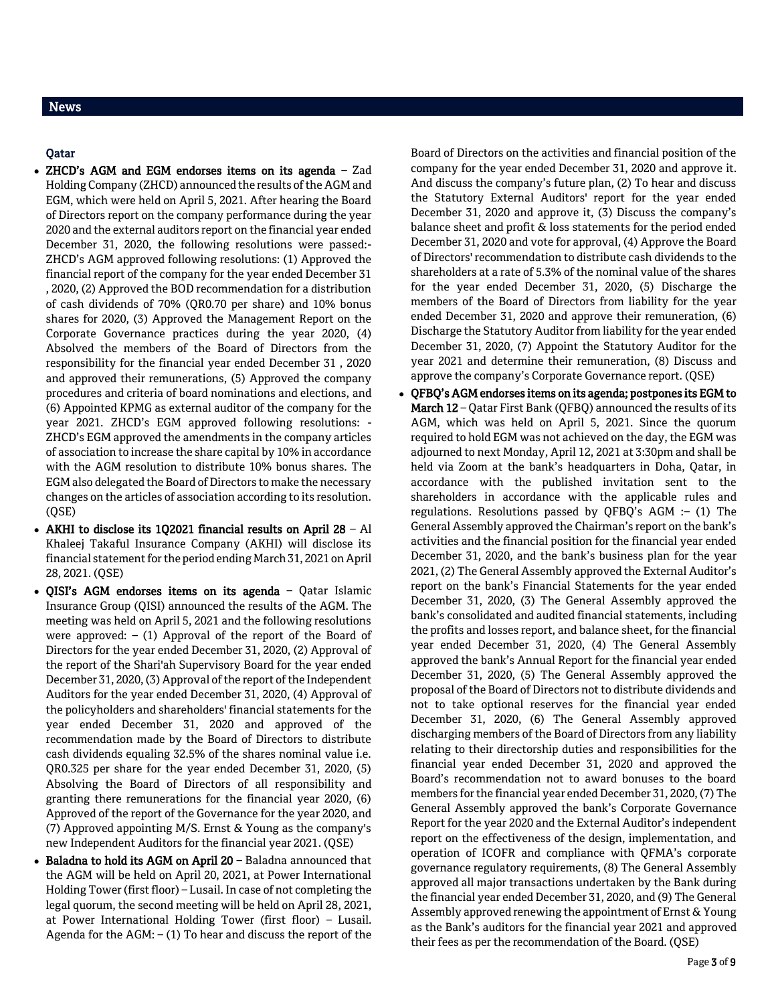# News

# Qatar

- ZHCD's AGM and EGM endorses items on its agenda Zad Holding Company (ZHCD) announced the results of the AGM and EGM, which were held on April 5, 2021. After hearing the Board of Directors report on the company performance during the year 2020 and the external auditors report on the financial year ended December 31, 2020, the following resolutions were passed:- ZHCD's AGM approved following resolutions: (1) Approved the financial report of the company for the year ended December 31 , 2020, (2) Approved the BOD recommendation for a distribution of cash dividends of 70% (QR0.70 per share) and 10% bonus shares for 2020, (3) Approved the Management Report on the Corporate Governance practices during the year 2020, (4) Absolved the members of the Board of Directors from the responsibility for the financial year ended December 31 , 2020 and approved their remunerations, (5) Approved the company procedures and criteria of board nominations and elections, and (6) Appointed KPMG as external auditor of the company for the year 2021. ZHCD's EGM approved following resolutions: - ZHCD's EGM approved the amendments in the company articles of association to increase the share capital by 10% in accordance with the AGM resolution to distribute 10% bonus shares. The EGM also delegated the Board of Directors to make the necessary changes on the articles of association according to its resolution. (QSE)
- AKHI to disclose its 1Q2021 financial results on April 28 Al Khaleej Takaful Insurance Company (AKHI) will disclose its financial statement for the period ending March 31, 2021 on April 28, 2021. (QSE)
- QISI's AGM endorses items on its agenda Qatar Islamic Insurance Group (QISI) announced the results of the AGM. The meeting was held on April 5, 2021 and the following resolutions were approved:  $-$  (1) Approval of the report of the Board of Directors for the year ended December 31, 2020, (2) Approval of the report of the Shari'ah Supervisory Board for the year ended December 31, 2020, (3) Approval of the report of the Independent Auditors for the year ended December 31, 2020, (4) Approval of the policyholders and shareholders' financial statements for the year ended December 31, 2020 and approved of the recommendation made by the Board of Directors to distribute cash dividends equaling 32.5% of the shares nominal value i.e. QR0.325 per share for the year ended December 31, 2020, (5) Absolving the Board of Directors of all responsibility and granting there remunerations for the financial year 2020, (6) Approved of the report of the Governance for the year 2020, and (7) Approved appointing M/S. Ernst & Young as the company's new Independent Auditors for the financial year 2021. (QSE)
- Baladna to hold its AGM on April 20 Baladna announced that the AGM will be held on April 20, 2021, at Power International Holding Tower (first floor) – Lusail. In case of not completing the legal quorum, the second meeting will be held on April 28, 2021, at Power International Holding Tower (first floor) – Lusail. Agenda for the  $AGM$ :  $- (1)$  To hear and discuss the report of the

Board of Directors on the activities and financial position of the company for the year ended December 31, 2020 and approve it. And discuss the company's future plan, (2) To hear and discuss the Statutory External Auditors' report for the year ended December 31, 2020 and approve it, (3) Discuss the company's balance sheet and profit & loss statements for the period ended December 31, 2020 and vote for approval, (4) Approve the Board of Directors' recommendation to distribute cash dividends to the shareholders at a rate of 5.3% of the nominal value of the shares for the year ended December 31, 2020, (5) Discharge the members of the Board of Directors from liability for the year ended December 31, 2020 and approve their remuneration, (6) Discharge the Statutory Auditor from liability for the year ended December 31, 2020, (7) Appoint the Statutory Auditor for the year 2021 and determine their remuneration, (8) Discuss and approve the company's Corporate Governance report. (QSE)

 QFBQ's AGM endorses items on its agenda; postpones its EGM to March 12 – Qatar First Bank (QFBQ) announced the results of its AGM, which was held on April 5, 2021. Since the quorum required to hold EGM was not achieved on the day, the EGM was adjourned to next Monday, April 12, 2021 at 3:30pm and shall be held via Zoom at the bank's headquarters in Doha, Qatar, in accordance with the published invitation sent to the shareholders in accordance with the applicable rules and regulations. Resolutions passed by QFBQ's AGM :– (1) The General Assembly approved the Chairman's report on the bank's activities and the financial position for the financial year ended December 31, 2020, and the bank's business plan for the year 2021, (2) The General Assembly approved the External Auditor's report on the bank's Financial Statements for the year ended December 31, 2020, (3) The General Assembly approved the bank's consolidated and audited financial statements, including the profits and losses report, and balance sheet, for the financial year ended December 31, 2020, (4) The General Assembly approved the bank's Annual Report for the financial year ended December 31, 2020, (5) The General Assembly approved the proposal of the Board of Directors not to distribute dividends and not to take optional reserves for the financial year ended December 31, 2020, (6) The General Assembly approved discharging members of the Board of Directors from any liability relating to their directorship duties and responsibilities for the financial year ended December 31, 2020 and approved the Board's recommendation not to award bonuses to the board members for the financial year ended December 31, 2020, (7) The General Assembly approved the bank's Corporate Governance Report for the year 2020 and the External Auditor's independent report on the effectiveness of the design, implementation, and operation of ICOFR and compliance with QFMA's corporate governance regulatory requirements, (8) The General Assembly approved all major transactions undertaken by the Bank during the financial year ended December 31, 2020, and (9) The General Assembly approved renewing the appointment of Ernst & Young as the Bank's auditors for the financial year 2021 and approved their fees as per the recommendation of the Board. (QSE)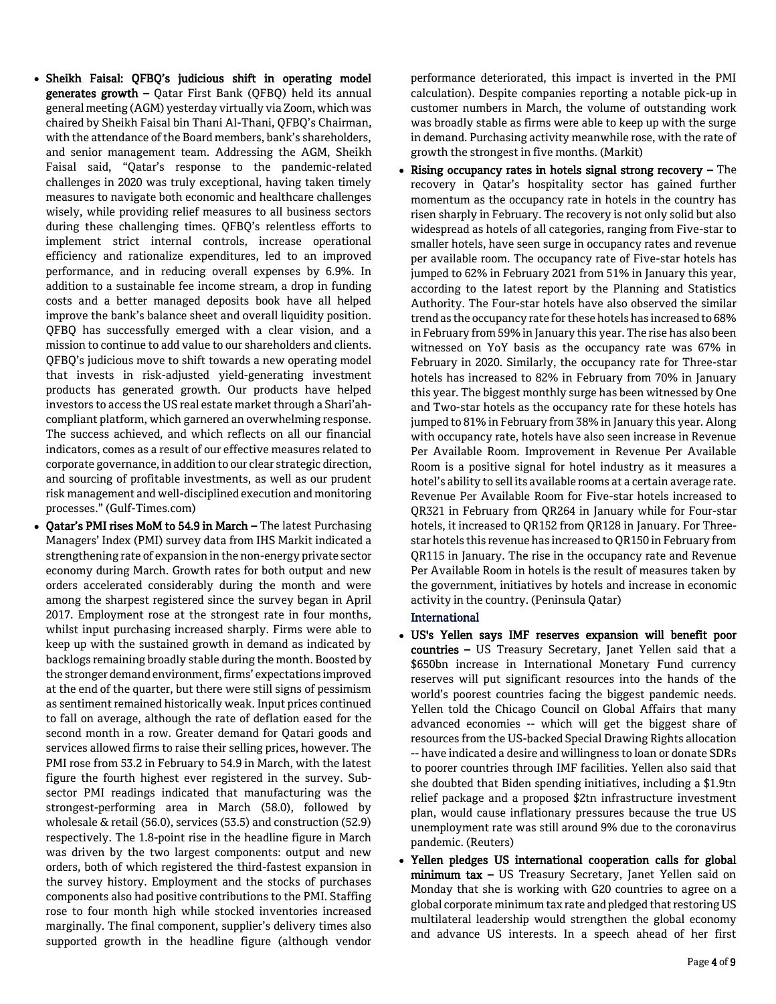- Sheikh Faisal: QFBQ's judicious shift in operating model generates growth – Qatar First Bank (QFBQ) held its annual general meeting (AGM) yesterday virtually via Zoom, which was chaired by Sheikh Faisal bin Thani Al-Thani, QFBQ's Chairman, with the attendance of the Board members, bank's shareholders, and senior management team. Addressing the AGM, Sheikh Faisal said, "Qatar's response to the pandemic-related challenges in 2020 was truly exceptional, having taken timely measures to navigate both economic and healthcare challenges wisely, while providing relief measures to all business sectors during these challenging times. QFBQ's relentless efforts to implement strict internal controls, increase operational efficiency and rationalize expenditures, led to an improved performance, and in reducing overall expenses by 6.9%. In addition to a sustainable fee income stream, a drop in funding costs and a better managed deposits book have all helped improve the bank's balance sheet and overall liquidity position. QFBQ has successfully emerged with a clear vision, and a mission to continue to add value to our shareholders and clients. QFBQ's judicious move to shift towards a new operating model that invests in risk-adjusted yield-generating investment products has generated growth. Our products have helped investors to access the US real estate market through a Shari'ahcompliant platform, which garnered an overwhelming response. The success achieved, and which reflects on all our financial indicators, comes as a result of our effective measures related to corporate governance, in addition to our clear strategic direction, and sourcing of profitable investments, as well as our prudent risk management and well-disciplined execution and monitoring processes." (Gulf-Times.com)
- Qatar's PMI rises MoM to 54.9 in March The latest Purchasing Managers' Index (PMI) survey data from IHS Markit indicated a strengthening rate of expansion in the non-energy private sector economy during March. Growth rates for both output and new orders accelerated considerably during the month and were among the sharpest registered since the survey began in April 2017. Employment rose at the strongest rate in four months, whilst input purchasing increased sharply. Firms were able to keep up with the sustained growth in demand as indicated by backlogs remaining broadly stable during the month. Boosted by the stronger demand environment, firms' expectations improved at the end of the quarter, but there were still signs of pessimism as sentiment remained historically weak. Input prices continued to fall on average, although the rate of deflation eased for the second month in a row. Greater demand for Qatari goods and services allowed firms to raise their selling prices, however. The PMI rose from 53.2 in February to 54.9 in March, with the latest figure the fourth highest ever registered in the survey. Subsector PMI readings indicated that manufacturing was the strongest-performing area in March (58.0), followed by wholesale & retail (56.0), services (53.5) and construction (52.9) respectively. The 1.8-point rise in the headline figure in March was driven by the two largest components: output and new orders, both of which registered the third-fastest expansion in the survey history. Employment and the stocks of purchases components also had positive contributions to the PMI. Staffing rose to four month high while stocked inventories increased marginally. The final component, supplier's delivery times also supported growth in the headline figure (although vendor

performance deteriorated, this impact is inverted in the PMI calculation). Despite companies reporting a notable pick-up in customer numbers in March, the volume of outstanding work was broadly stable as firms were able to keep up with the surge in demand. Purchasing activity meanwhile rose, with the rate of growth the strongest in five months. (Markit)

 $\bullet$  Rising occupancy rates in hotels signal strong recovery – The recovery in Qatar's hospitality sector has gained further momentum as the occupancy rate in hotels in the country has risen sharply in February. The recovery is not only solid but also widespread as hotels of all categories, ranging from Five-star to smaller hotels, have seen surge in occupancy rates and revenue per available room. The occupancy rate of Five-star hotels has jumped to 62% in February 2021 from 51% in January this year, according to the latest report by the Planning and Statistics Authority. The Four-star hotels have also observed the similar trend as the occupancy rate for these hotels has increased to 68% in February from 59% in January this year. The rise has also been witnessed on YoY basis as the occupancy rate was 67% in February in 2020. Similarly, the occupancy rate for Three-star hotels has increased to 82% in February from 70% in January this year. The biggest monthly surge has been witnessed by One and Two-star hotels as the occupancy rate for these hotels has jumped to 81% in February from 38% in January this year. Along with occupancy rate, hotels have also seen increase in Revenue Per Available Room. Improvement in Revenue Per Available Room is a positive signal for hotel industry as it measures a hotel's ability to sell its available rooms at a certain average rate. Revenue Per Available Room for Five-star hotels increased to QR321 in February from QR264 in January while for Four-star hotels, it increased to QR152 from QR128 in January. For Threestar hotels this revenue has increased to QR150 in February from QR115 in January. The rise in the occupancy rate and Revenue Per Available Room in hotels is the result of measures taken by the government, initiatives by hotels and increase in economic activity in the country. (Peninsula Qatar)

### International

- US's Yellen says IMF reserves expansion will benefit poor countries – US Treasury Secretary, Janet Yellen said that a \$650bn increase in International Monetary Fund currency reserves will put significant resources into the hands of the world's poorest countries facing the biggest pandemic needs. Yellen told the Chicago Council on Global Affairs that many advanced economies -- which will get the biggest share of resources from the US-backed Special Drawing Rights allocation -- have indicated a desire and willingness to loan or donate SDRs to poorer countries through IMF facilities. Yellen also said that she doubted that Biden spending initiatives, including a \$1.9tn relief package and a proposed \$2tn infrastructure investment plan, would cause inflationary pressures because the true US unemployment rate was still around 9% due to the coronavirus pandemic. (Reuters)
- Yellen pledges US international cooperation calls for global minimum tax - US Treasury Secretary, Janet Yellen said on Monday that she is working with G20 countries to agree on a global corporate minimum tax rate and pledged that restoring US multilateral leadership would strengthen the global economy and advance US interests. In a speech ahead of her first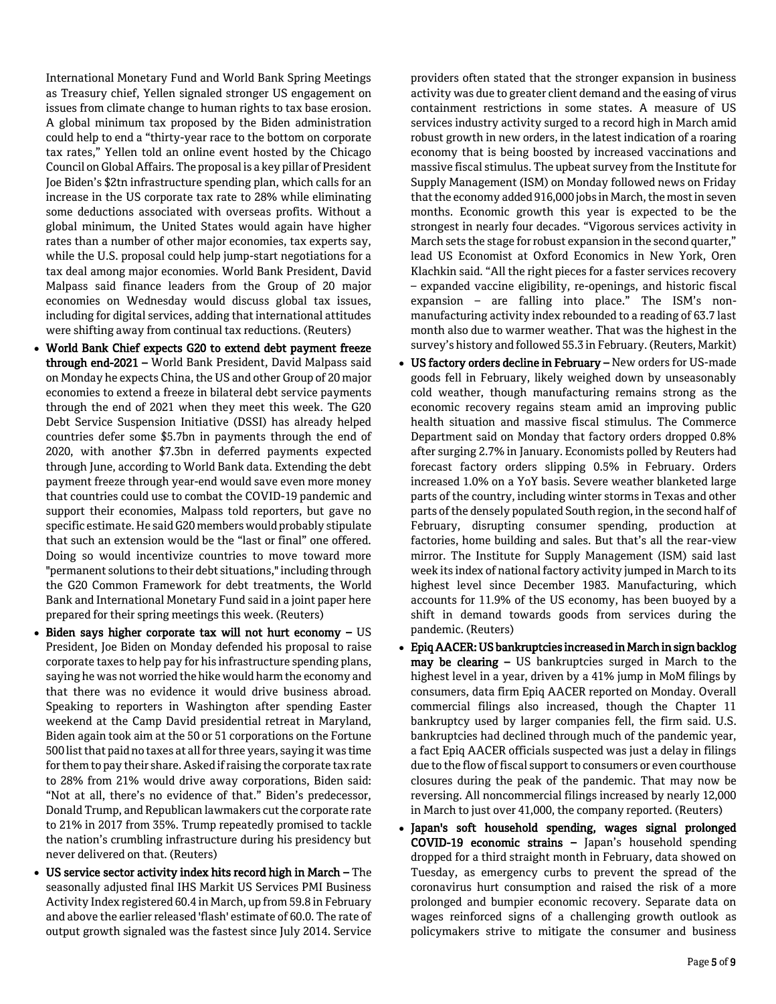International Monetary Fund and World Bank Spring Meetings as Treasury chief, Yellen signaled stronger US engagement on issues from climate change to human rights to tax base erosion. A global minimum tax proposed by the Biden administration could help to end a "thirty-year race to the bottom on corporate tax rates," Yellen told an online event hosted by the Chicago Council on Global Affairs. The proposal is a key pillar of President Joe Biden's \$2tn infrastructure spending plan, which calls for an increase in the US corporate tax rate to 28% while eliminating some deductions associated with overseas profits. Without a global minimum, the United States would again have higher rates than a number of other major economies, tax experts say, while the U.S. proposal could help jump-start negotiations for a tax deal among major economies. World Bank President, David Malpass said finance leaders from the Group of 20 major economies on Wednesday would discuss global tax issues, including for digital services, adding that international attitudes were shifting away from continual tax reductions. (Reuters)

- World Bank Chief expects G20 to extend debt payment freeze through end-2021 – World Bank President, David Malpass said on Monday he expects China, the US and other Group of 20 major economies to extend a freeze in bilateral debt service payments through the end of 2021 when they meet this week. The G20 Debt Service Suspension Initiative (DSSI) has already helped countries defer some \$5.7bn in payments through the end of 2020, with another \$7.3bn in deferred payments expected through June, according to World Bank data. Extending the debt payment freeze through year-end would save even more money that countries could use to combat the COVID-19 pandemic and support their economies, Malpass told reporters, but gave no specific estimate. He said G20 members would probably stipulate that such an extension would be the "last or final" one offered. Doing so would incentivize countries to move toward more "permanent solutions to their debt situations," including through the G20 Common Framework for debt treatments, the World Bank and International Monetary Fund said in a joint paper here prepared for their spring meetings this week. (Reuters)
- $\bullet$  Biden says higher corporate tax will not hurt economy  $-$  US President, Joe Biden on Monday defended his proposal to raise corporate taxes to help pay for his infrastructure spending plans, saying he was not worried the hike would harm the economy and that there was no evidence it would drive business abroad. Speaking to reporters in Washington after spending Easter weekend at the Camp David presidential retreat in Maryland, Biden again took aim at the 50 or 51 corporations on the Fortune 500 list that paid no taxes at all for three years, saying it was time for them to pay their share. Asked if raising the corporate tax rate to 28% from 21% would drive away corporations, Biden said: "Not at all, there's no evidence of that." Biden's predecessor, Donald Trump, and Republican lawmakers cut the corporate rate to 21% in 2017 from 35%. Trump repeatedly promised to tackle the nation's crumbling infrastructure during his presidency but never delivered on that. (Reuters)
- US service sector activity index hits record high in March The seasonally adjusted final IHS Markit US Services PMI Business Activity Index registered 60.4 in March, up from 59.8 in February and above the earlier released 'flash' estimate of 60.0. The rate of output growth signaled was the fastest since July 2014. Service

providers often stated that the stronger expansion in business activity was due to greater client demand and the easing of virus containment restrictions in some states. A measure of US services industry activity surged to a record high in March amid robust growth in new orders, in the latest indication of a roaring economy that is being boosted by increased vaccinations and massive fiscal stimulus. The upbeat survey from the Institute for Supply Management (ISM) on Monday followed news on Friday that the economy added 916,000 jobs in March, the most in seven months. Economic growth this year is expected to be the strongest in nearly four decades. "Vigorous services activity in March sets the stage for robust expansion in the second quarter," lead US Economist at Oxford Economics in New York, Oren Klachkin said. "All the right pieces for a faster services recovery – expanded vaccine eligibility, re-openings, and historic fiscal expansion – are falling into place." The ISM's nonmanufacturing activity index rebounded to a reading of 63.7 last month also due to warmer weather. That was the highest in the survey's history and followed 55.3 in February. (Reuters, Markit)

- US factory orders decline in February New orders for US-made goods fell in February, likely weighed down by unseasonably cold weather, though manufacturing remains strong as the economic recovery regains steam amid an improving public health situation and massive fiscal stimulus. The Commerce Department said on Monday that factory orders dropped 0.8% after surging 2.7% in January. Economists polled by Reuters had forecast factory orders slipping 0.5% in February. Orders increased 1.0% on a YoY basis. Severe weather blanketed large parts of the country, including winter storms in Texas and other parts of the densely populated South region, in the second half of February, disrupting consumer spending, production at factories, home building and sales. But that's all the rear-view mirror. The Institute for Supply Management (ISM) said last week its index of national factory activity jumped in March to its highest level since December 1983. Manufacturing, which accounts for 11.9% of the US economy, has been buoyed by a shift in demand towards goods from services during the pandemic. (Reuters)
- Epiq AACER: US bankruptcies increased in March in sign backlog may be clearing – US bankruptcies surged in March to the highest level in a year, driven by a 41% jump in MoM filings by consumers, data firm Epiq AACER reported on Monday. Overall commercial filings also increased, though the Chapter 11 bankruptcy used by larger companies fell, the firm said. U.S. bankruptcies had declined through much of the pandemic year, a fact Epiq AACER officials suspected was just a delay in filings due to the flow of fiscal support to consumers or even courthouse closures during the peak of the pandemic. That may now be reversing. All noncommercial filings increased by nearly 12,000 in March to just over 41,000, the company reported. (Reuters)
- Japan's soft household spending, wages signal prolonged COVID-19 economic strains – Japan's household spending dropped for a third straight month in February, data showed on Tuesday, as emergency curbs to prevent the spread of the coronavirus hurt consumption and raised the risk of a more prolonged and bumpier economic recovery. Separate data on wages reinforced signs of a challenging growth outlook as policymakers strive to mitigate the consumer and business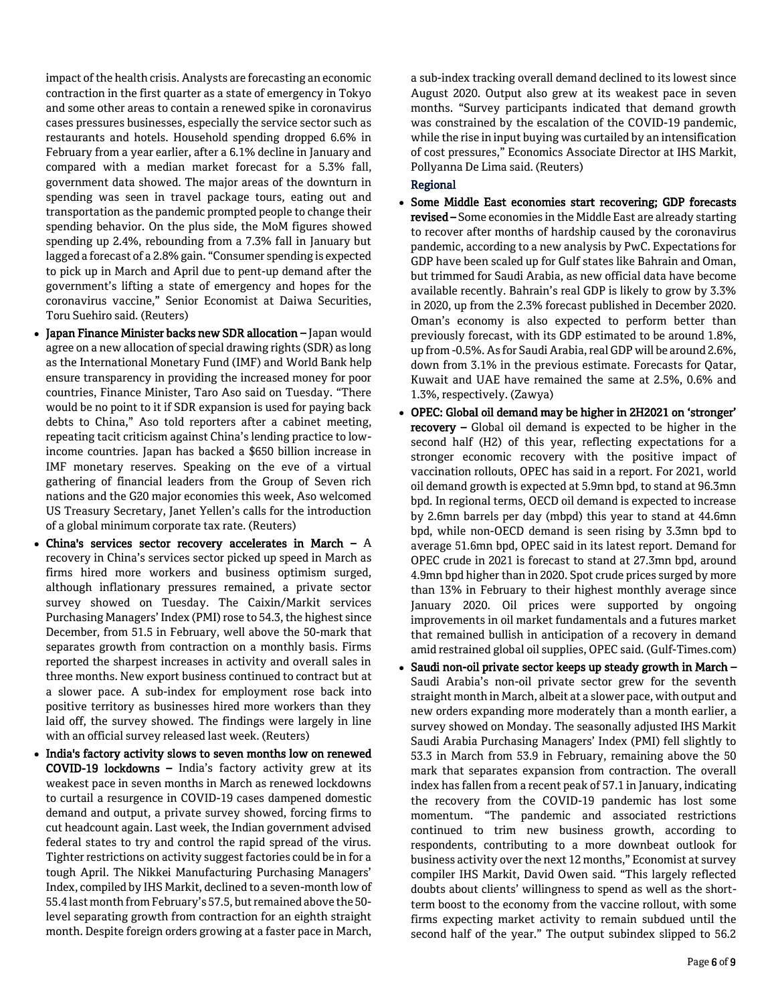impact of the health crisis. Analysts are forecasting an economic contraction in the first quarter as a state of emergency in Tokyo and some other areas to contain a renewed spike in coronavirus cases pressures businesses, especially the service sector such as restaurants and hotels. Household spending dropped 6.6% in February from a year earlier, after a 6.1% decline in January and compared with a median market forecast for a 5.3% fall, government data showed. The major areas of the downturn in spending was seen in travel package tours, eating out and transportation as the pandemic prompted people to change their spending behavior. On the plus side, the MoM figures showed spending up 2.4%, rebounding from a 7.3% fall in January but lagged a forecast of a 2.8% gain. "Consumer spending is expected to pick up in March and April due to pent-up demand after the government's lifting a state of emergency and hopes for the coronavirus vaccine," Senior Economist at Daiwa Securities, Toru Suehiro said. (Reuters)

- Japan Finance Minister backs new SDR allocation Japan would agree on a new allocation of special drawing rights (SDR) as long as the International Monetary Fund (IMF) and World Bank help ensure transparency in providing the increased money for poor countries, Finance Minister, Taro Aso said on Tuesday. "There would be no point to it if SDR expansion is used for paying back debts to China," Aso told reporters after a cabinet meeting, repeating tacit criticism against China's lending practice to lowincome countries. Japan has backed a \$650 billion increase in IMF monetary reserves. Speaking on the eve of a virtual gathering of financial leaders from the Group of Seven rich nations and the G20 major economies this week, Aso welcomed US Treasury Secretary, Janet Yellen's calls for the introduction of a global minimum corporate tax rate. (Reuters)
- China's services sector recovery accelerates in March A recovery in China's services sector picked up speed in March as firms hired more workers and business optimism surged, although inflationary pressures remained, a private sector survey showed on Tuesday. The Caixin/Markit services Purchasing Managers' Index (PMI) rose to 54.3, the highest since December, from 51.5 in February, well above the 50-mark that separates growth from contraction on a monthly basis. Firms reported the sharpest increases in activity and overall sales in three months. New export business continued to contract but at a slower pace. A sub-index for employment rose back into positive territory as businesses hired more workers than they laid off, the survey showed. The findings were largely in line with an official survey released last week. (Reuters)
- India's factory activity slows to seven months low on renewed COVID-19 lockdowns – India's factory activity grew at its weakest pace in seven months in March as renewed lockdowns to curtail a resurgence in COVID-19 cases dampened domestic demand and output, a private survey showed, forcing firms to cut headcount again. Last week, the Indian government advised federal states to try and control the rapid spread of the virus. Tighter restrictions on activity suggest factories could be in for a tough April. The Nikkei Manufacturing Purchasing Managers' Index, compiled by IHS Markit, declined to a seven-month low of 55.4 last month from February's 57.5, but remained above the 50 level separating growth from contraction for an eighth straight month. Despite foreign orders growing at a faster pace in March,

a sub-index tracking overall demand declined to its lowest since August 2020. Output also grew at its weakest pace in seven months. "Survey participants indicated that demand growth was constrained by the escalation of the COVID-19 pandemic, while the rise in input buying was curtailed by an intensification of cost pressures," Economics Associate Director at IHS Markit, Pollyanna De Lima said. (Reuters)

# Regional

- Some Middle East economies start recovering; GDP forecasts revised – Some economies in the Middle East are already starting to recover after months of hardship caused by the coronavirus pandemic, according to a new analysis by PwC. Expectations for GDP have been scaled up for Gulf states like Bahrain and Oman, but trimmed for Saudi Arabia, as new official data have become available recently. Bahrain's real GDP is likely to grow by 3.3% in 2020, up from the 2.3% forecast published in December 2020. Oman's economy is also expected to perform better than previously forecast, with its GDP estimated to be around 1.8%, up from -0.5%. As for Saudi Arabia, real GDP will be around 2.6%, down from 3.1% in the previous estimate. Forecasts for Qatar, Kuwait and UAE have remained the same at 2.5%, 0.6% and 1.3%, respectively. (Zawya)
- OPEC: Global oil demand may be higher in 2H2021 on 'stronger' recovery – Global oil demand is expected to be higher in the second half (H2) of this year, reflecting expectations for a stronger economic recovery with the positive impact of vaccination rollouts, OPEC has said in a report. For 2021, world oil demand growth is expected at 5.9mn bpd, to stand at 96.3mn bpd. In regional terms, OECD oil demand is expected to increase by 2.6mn barrels per day (mbpd) this year to stand at 44.6mn bpd, while non-OECD demand is seen rising by 3.3mn bpd to average 51.6mn bpd, OPEC said in its latest report. Demand for OPEC crude in 2021 is forecast to stand at 27.3mn bpd, around 4.9mn bpd higher than in 2020. Spot crude prices surged by more than 13% in February to their highest monthly average since January 2020. Oil prices were supported by ongoing improvements in oil market fundamentals and a futures market that remained bullish in anticipation of a recovery in demand amid restrained global oil supplies, OPEC said. (Gulf-Times.com)
- Saudi non-oil private sector keeps up steady growth in March Saudi Arabia's non-oil private sector grew for the seventh straight month in March, albeit at a slower pace, with output and new orders expanding more moderately than a month earlier, a survey showed on Monday. The seasonally adjusted IHS Markit Saudi Arabia Purchasing Managers' Index (PMI) fell slightly to 53.3 in March from 53.9 in February, remaining above the 50 mark that separates expansion from contraction. The overall index has fallen from a recent peak of 57.1 in January, indicating the recovery from the COVID-19 pandemic has lost some momentum. "The pandemic and associated restrictions continued to trim new business growth, according to respondents, contributing to a more downbeat outlook for business activity over the next 12 months," Economist at survey compiler IHS Markit, David Owen said. "This largely reflected doubts about clients' willingness to spend as well as the shortterm boost to the economy from the vaccine rollout, with some firms expecting market activity to remain subdued until the second half of the year." The output subindex slipped to 56.2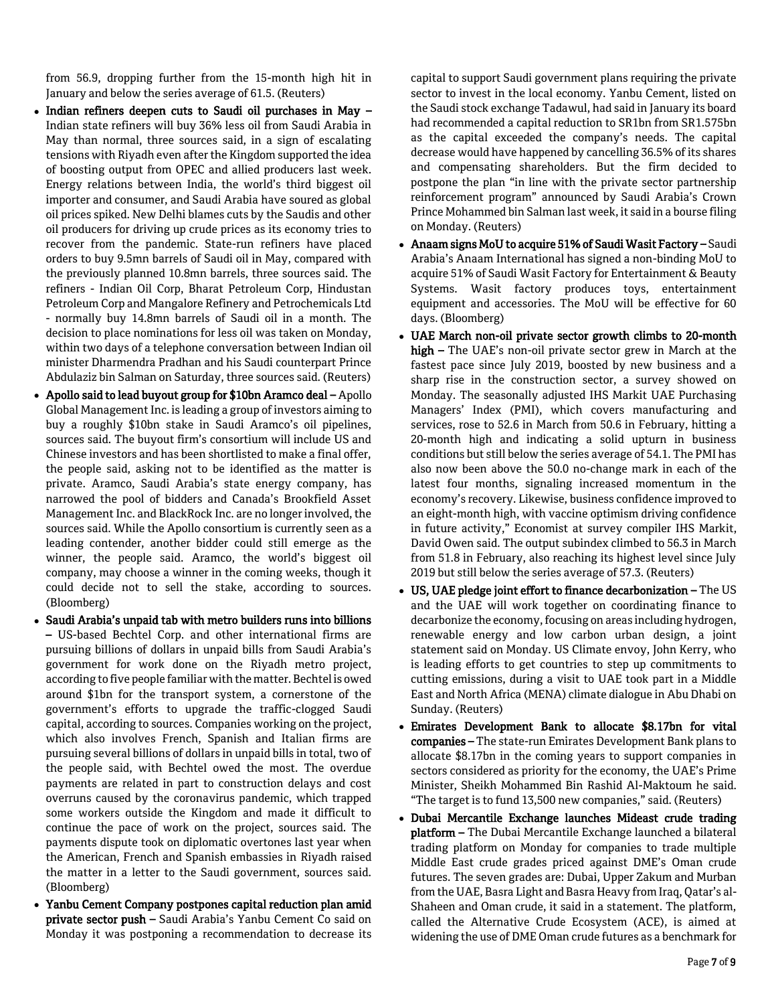from 56.9, dropping further from the 15-month high hit in January and below the series average of 61.5. (Reuters)

- Indian refiners deepen cuts to Saudi oil purchases in May -Indian state refiners will buy 36% less oil from Saudi Arabia in May than normal, three sources said, in a sign of escalating tensions with Riyadh even after the Kingdom supported the idea of boosting output from OPEC and allied producers last week. Energy relations between India, the world's third biggest oil importer and consumer, and Saudi Arabia have soured as global oil prices spiked. New Delhi blames cuts by the Saudis and other oil producers for driving up crude prices as its economy tries to recover from the pandemic. State-run refiners have placed orders to buy 9.5mn barrels of Saudi oil in May, compared with the previously planned 10.8mn barrels, three sources said. The refiners - Indian Oil Corp, Bharat Petroleum Corp, Hindustan Petroleum Corp and Mangalore Refinery and Petrochemicals Ltd - normally buy 14.8mn barrels of Saudi oil in a month. The decision to place nominations for less oil was taken on Monday, within two days of a telephone conversation between Indian oil minister Dharmendra Pradhan and his Saudi counterpart Prince Abdulaziz bin Salman on Saturday, three sources said. (Reuters)
- Apollo said to lead buyout group for \$10bn Aramco deal Apollo Global Management Inc. is leading a group of investors aiming to buy a roughly \$10bn stake in Saudi Aramco's oil pipelines, sources said. The buyout firm's consortium will include US and Chinese investors and has been shortlisted to make a final offer, the people said, asking not to be identified as the matter is private. Aramco, Saudi Arabia's state energy company, has narrowed the pool of bidders and Canada's Brookfield Asset Management Inc. and BlackRock Inc. are no longer involved, the sources said. While the Apollo consortium is currently seen as a leading contender, another bidder could still emerge as the winner, the people said. Aramco, the world's biggest oil company, may choose a winner in the coming weeks, though it could decide not to sell the stake, according to sources. (Bloomberg)
- Saudi Arabia's unpaid tab with metro builders runs into billions – US-based Bechtel Corp. and other international firms are pursuing billions of dollars in unpaid bills from Saudi Arabia's government for work done on the Riyadh metro project, according to five people familiar with the matter. Bechtel is owed around \$1bn for the transport system, a cornerstone of the government's efforts to upgrade the traffic-clogged Saudi capital, according to sources. Companies working on the project, which also involves French, Spanish and Italian firms are pursuing several billions of dollars in unpaid bills in total, two of the people said, with Bechtel owed the most. The overdue payments are related in part to construction delays and cost overruns caused by the coronavirus pandemic, which trapped some workers outside the Kingdom and made it difficult to continue the pace of work on the project, sources said. The payments dispute took on diplomatic overtones last year when the American, French and Spanish embassies in Riyadh raised the matter in a letter to the Saudi government, sources said. (Bloomberg)
- Yanbu Cement Company postpones capital reduction plan amid private sector push – Saudi Arabia's Yanbu Cement Co said on Monday it was postponing a recommendation to decrease its

capital to support Saudi government plans requiring the private sector to invest in the local economy. Yanbu Cement, listed on the Saudi stock exchange Tadawul, had said in January its board had recommended a capital reduction to SR1bn from SR1.575bn as the capital exceeded the company's needs. The capital decrease would have happened by cancelling 36.5% of its shares and compensating shareholders. But the firm decided to postpone the plan "in line with the private sector partnership reinforcement program" announced by Saudi Arabia's Crown Prince Mohammed bin Salman last week, it said in a bourse filing on Monday. (Reuters)

- Anaam signs MoU to acquire 51% of Saudi Wasit Factory Saudi Arabia's Anaam International has signed a non-binding MoU to acquire 51% of Saudi Wasit Factory for Entertainment & Beauty Systems. Wasit factory produces toys, entertainment equipment and accessories. The MoU will be effective for 60 days. (Bloomberg)
- UAE March non-oil private sector growth climbs to 20-month high – The UAE's non-oil private sector grew in March at the fastest pace since July 2019, boosted by new business and a sharp rise in the construction sector, a survey showed on Monday. The seasonally adjusted IHS Markit UAE Purchasing Managers' Index (PMI), which covers manufacturing and services, rose to 52.6 in March from 50.6 in February, hitting a 20-month high and indicating a solid upturn in business conditions but still below the series average of 54.1. The PMI has also now been above the 50.0 no-change mark in each of the latest four months, signaling increased momentum in the economy's recovery. Likewise, business confidence improved to an eight-month high, with vaccine optimism driving confidence in future activity," Economist at survey compiler IHS Markit, David Owen said. The output subindex climbed to 56.3 in March from 51.8 in February, also reaching its highest level since July 2019 but still below the series average of 57.3. (Reuters)
- US, UAE pledge joint effort to finance decarbonization The US and the UAE will work together on coordinating finance to decarbonize the economy, focusing on areas including hydrogen, renewable energy and low carbon urban design, a joint statement said on Monday. US Climate envoy, John Kerry, who is leading efforts to get countries to step up commitments to cutting emissions, during a visit to UAE took part in a Middle East and North Africa (MENA) climate dialogue in Abu Dhabi on Sunday. (Reuters)
- Emirates Development Bank to allocate \$8.17bn for vital companies – The state-run Emirates Development Bank plans to allocate \$8.17bn in the coming years to support companies in sectors considered as priority for the economy, the UAE's Prime Minister, Sheikh Mohammed Bin Rashid Al-Maktoum he said. "The target is to fund 13,500 new companies," said. (Reuters)
- Dubai Mercantile Exchange launches Mideast crude trading platform – The Dubai Mercantile Exchange launched a bilateral trading platform on Monday for companies to trade multiple Middle East crude grades priced against DME's Oman crude futures. The seven grades are: Dubai, Upper Zakum and Murban from the UAE, Basra Light and Basra Heavy from Iraq, Qatar's al-Shaheen and Oman crude, it said in a statement. The platform, called the Alternative Crude Ecosystem (ACE), is aimed at widening the use of DME Oman crude futures as a benchmark for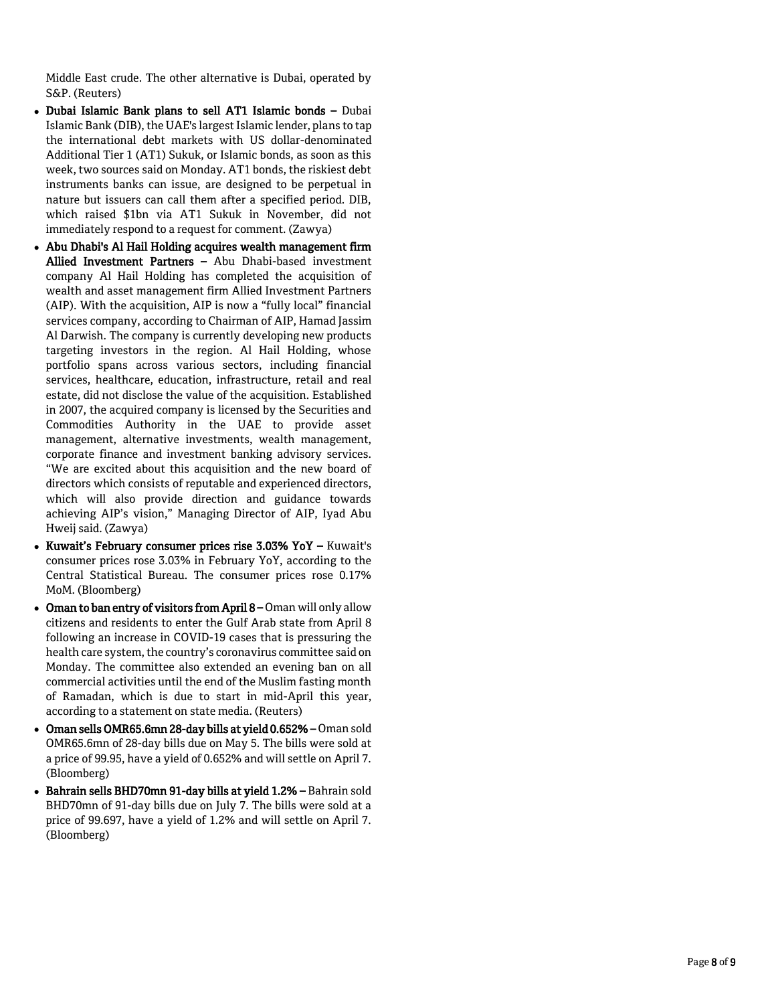Middle East crude. The other alternative is Dubai, operated by S&P. (Reuters)

- Dubai Islamic Bank plans to sell AT1 Islamic bonds Dubai Islamic Bank (DIB), the UAE's largest Islamic lender, plans to tap the international debt markets with US dollar -denominated Additional Tier 1 (AT1) Sukuk, or Islamic bonds, as soon as this week, two sources said on Monday. AT1 bonds, the riskiest debt instruments banks can issue, are designed to be perpetual in nature but issuers can call them after a specified period. DIB, which raised \$1bn via AT1 Sukuk in November, did not immediately respond to a request for comment. (Zawya)
- Abu Dhabi's Al Hail Holding acquires wealth management firm Allied Investment Partners - Abu Dhabi-based investment company Al Hail Holding has completed the acquisition of wealth and asset management firm Allied Investment Partners (AIP). With the acquisition, AIP is now a "fully local" financial services company, according to Chairman of AIP, Hamad Jassim Al Darwish. The company is currently developing new products targeting investors in the region. Al Hail Holding, whose portfolio spans across various sectors, including financial services, healthcare, education, infrastructure, retail and real estate, did not disclose the value of the acquisition. Established in 2007, the acquired company is licensed by the Securities and Commodities Authority in the UAE to provide asset management, alternative investments, wealth management, corporate finance and investment banking advisory services. "We are excited about this acquisition and the new board of directors which consists of reputable and experienced directors, which will also provide direction and guidance towards achieving AIP's vision," Managing Director of AIP, Iyad Abu Hweij said. (Zawya)
- Kuwait's February consumer prices rise 3.03% YoY Kuwait's consumer prices rose 3.03% in February YoY, according to the Central Statistical Bureau. The consumer prices rose 0.17% MoM. (Bloomberg)
- Oman to ban entry of visitors from April 8 Oman will only allow citizens and residents to enter the Gulf Arab state from April 8 following an increase in COVID -19 cases that is pressuring the health care system, the country's coronavirus committee said on Monday. The committee also extended an evening ban on all commercial activities until the end of the Muslim fasting month of Ramadan, which is due to start in mid -April this year, according to a statement on state media. (Reuters)
- Oman sells OMR65.6mn 28-day bills at yield 0.652% Oman sold OMR65.6mn of 28 -day bills due on May 5. The bills were sold at a price of 99.95, have a yield of 0.652% and will settle on April 7. (Bloomberg)
- Bahrain sells BHD70mn 91 -day bills at yield 1.2% Bahrain sold BHD70mn of 91 - day bills due on July 7. The bills were sold at a price of 99.697, have a yield of 1.2% and will settle on April 7. (Bloomberg)